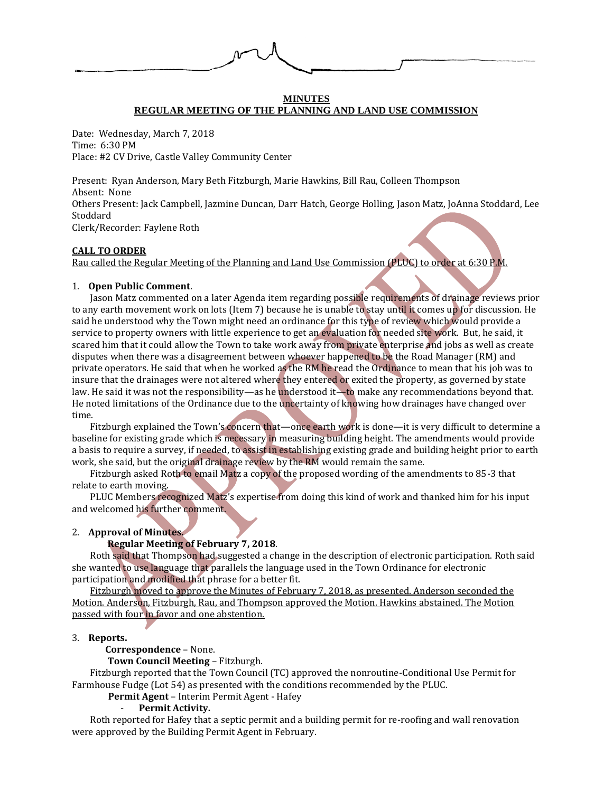

## **MINUTES REGULAR MEETING OF THE PLANNING AND LAND USE COMMISSION**

Date: Wednesday, March 7, 2018 Time: 6:30 PM Place: #2 CV Drive, Castle Valley Community Center

Present: Ryan Anderson, Mary Beth Fitzburgh, Marie Hawkins, Bill Rau, Colleen Thompson Absent: None Others Present: Jack Campbell, Jazmine Duncan, Darr Hatch, George Holling, Jason Matz, JoAnna Stoddard, Lee Stoddard Clerk/Recorder: Faylene Roth

## **CALL TO ORDER**

Rau called the Regular Meeting of the Planning and Land Use Commission (PLUC) to order at 6:30 P.M.

### 1. **Open Public Comment**.

Jason Matz commented on a later Agenda item regarding possible requirements of drainage reviews prior to any earth movement work on lots (Item 7) because he is unable to stay until it comes up for discussion. He said he understood why the Town might need an ordinance for this type of review which would provide a service to property owners with little experience to get an evaluation for needed site work. But, he said, it scared him that it could allow the Town to take work away from private enterprise and jobs as well as create disputes when there was a disagreement between whoever happened to be the Road Manager (RM) and private operators. He said that when he worked as the RM he read the Ordinance to mean that his job was to insure that the drainages were not altered where they entered or exited the property, as governed by state law. He said it was not the responsibility—as he understood it—to make any recommendations beyond that. He noted limitations of the Ordinance due to the uncertainty of knowing how drainages have changed over time.

Fitzburgh explained the Town's concern that—once earth work is done—it is very difficult to determine a baseline for existing grade which is necessary in measuring building height. The amendments would provide a basis to require a survey, if needed, to assist in establishing existing grade and building height prior to earth work, she said, but the original drainage review by the RM would remain the same.

Fitzburgh asked Roth to email Matz a copy of the proposed wording of the amendments to 85-3 that relate to earth moving.

PLUC Members recognized Matz's expertise from doing this kind of work and thanked him for his input and welcomed his further comment.

## 2. **Approval of Minutes.**

# **Regular Meeting of February 7, 2018**.

Roth said that Thompson had suggested a change in the description of electronic participation. Roth said she wanted to use language that parallels the language used in the Town Ordinance for electronic participation and modified that phrase for a better fit.

Fitzburgh moved to approve the Minutes of February 7, 2018, as presented. Anderson seconded the Motion. Anderson, Fitzburgh, Rau, and Thompson approved the Motion. Hawkins abstained. The Motion passed with four in favor and one abstention.

#### 3. **Reports.**

 **Correspondence** – None.

**Town Council Meeting** – Fitzburgh.

Fitzburgh reported that the Town Council (TC) approved the nonroutine-Conditional Use Permit for Farmhouse Fudge (Lot 54) as presented with the conditions recommended by the PLUC.

**Permit Agent** – Interim Permit Agent - Hafey

#### - **Permit Activity.**

Roth reported for Hafey that a septic permit and a building permit for re-roofing and wall renovation were approved by the Building Permit Agent in February.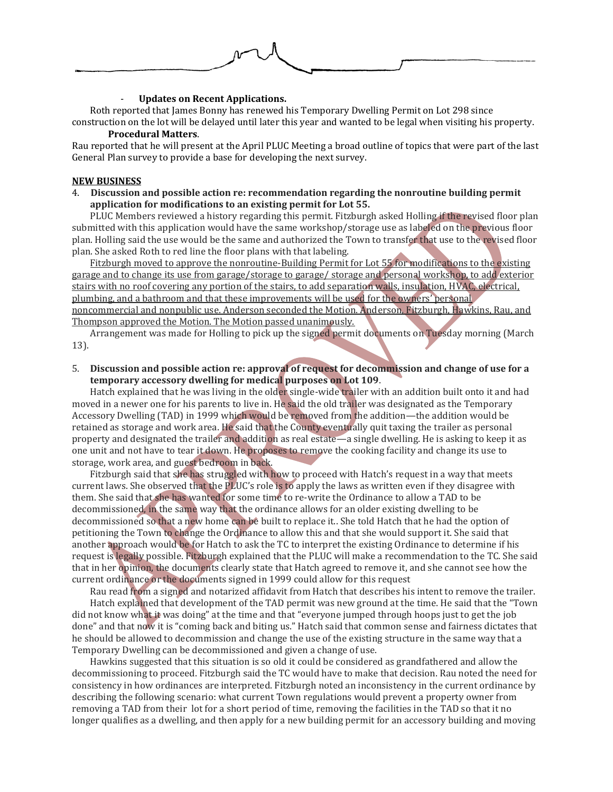

#### - **Updates on Recent Applications.**

Roth reported that James Bonny has renewed his Temporary Dwelling Permit on Lot 298 since construction on the lot will be delayed until later this year and wanted to be legal when visiting his property.

## **Procedural Matters**.

Rau reported that he will present at the April PLUC Meeting a broad outline of topics that were part of the last General Plan survey to provide a base for developing the next survey.

## **NEW BUSINESS**

4. **Discussion and possible action re: recommendation regarding the nonroutine building permit application for modifications to an existing permit for Lot 55.**

PLUC Members reviewed a history regarding this permit. Fitzburgh asked Holling if the revised floor plan submitted with this application would have the same workshop/storage use as labeled on the previous floor plan. Holling said the use would be the same and authorized the Town to transfer that use to the revised floor plan. She asked Roth to red line the floor plans with that labeling.

Fitzburgh moved to approve the nonroutine-Building Permit for Lot 55 for modifications to the existing garage and to change its use from garage/storage to garage/ storage and personal workshop, to add exterior stairs with no roof covering any portion of the stairs, to add separation walls, insulation, HVAC, electrical, plumbing, and a bathroom and that these improvements will be used for the owners' personal noncommercial and nonpublic use. Anderson seconded the Motion. Anderson, Fitzburgh, Hawkins, Rau, and Thompson approved the Motion. The Motion passed unanimously.

Arrangement was made for Holling to pick up the signed permit documents on Tuesday morning (March 13).

5. **Discussion and possible action re: approval of request for decommission and change of use for a temporary accessory dwelling for medical purposes on Lot 109**.

Hatch explained that he was living in the older single-wide trailer with an addition built onto it and had moved in a newer one for his parents to live in. He said the old trailer was designated as the Temporary Accessory Dwelling (TAD) in 1999 which would be removed from the addition—the addition would be retained as storage and work area. He said that the County eventually quit taxing the trailer as personal property and designated the trailer and addition as real estate—a single dwelling. He is asking to keep it as one unit and not have to tear it down. He proposes to remove the cooking facility and change its use to storage, work area, and guest bedroom in back.

Fitzburgh said that she has struggled with how to proceed with Hatch's request in a way that meets current laws. She observed that the PLUC's role is to apply the laws as written even if they disagree with them. She said that she has wanted for some time to re-write the Ordinance to allow a TAD to be decommissioned, in the same way that the ordinance allows for an older existing dwelling to be decommissioned so that a new home can be built to replace it.. She told Hatch that he had the option of petitioning the Town to change the Ordinance to allow this and that she would support it. She said that another approach would be for Hatch to ask the TC to interpret the existing Ordinance to determine if his request is legally possible. Fitzburgh explained that the PLUC will make a recommendation to the TC. She said that in her opinion, the documents clearly state that Hatch agreed to remove it, and she cannot see how the current ordinance or the documents signed in 1999 could allow for this request

Rau read from a signed and notarized affidavit from Hatch that describes his intent to remove the trailer.

Hatch explained that development of the TAD permit was new ground at the time. He said that the "Town did not know what it was doing" at the time and that "everyone jumped through hoops just to get the job done" and that now it is "coming back and biting us." Hatch said that common sense and fairness dictates that he should be allowed to decommission and change the use of the existing structure in the same way that a Temporary Dwelling can be decommissioned and given a change of use.

Hawkins suggested that this situation is so old it could be considered as grandfathered and allow the decommissioning to proceed. Fitzburgh said the TC would have to make that decision. Rau noted the need for consistency in how ordinances are interpreted. Fitzburgh noted an inconsistency in the current ordinance by describing the following scenario: what current Town regulations would prevent a property owner from removing a TAD from their lot for a short period of time, removing the facilities in the TAD so that it no longer qualifies as a dwelling, and then apply for a new building permit for an accessory building and moving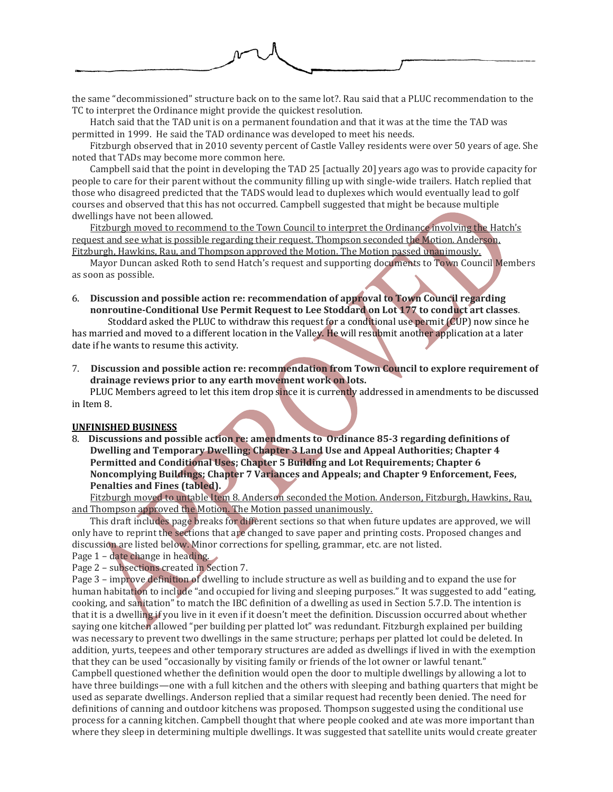

the same "decommissioned" structure back on to the same lot?. Rau said that a PLUC recommendation to the TC to interpret the Ordinance might provide the quickest resolution.

Hatch said that the TAD unit is on a permanent foundation and that it was at the time the TAD was permitted in 1999. He said the TAD ordinance was developed to meet his needs.

Fitzburgh observed that in 2010 seventy percent of Castle Valley residents were over 50 years of age. She noted that TADs may become more common here.

Campbell said that the point in developing the TAD 25 [actually 20] years ago was to provide capacity for people to care for their parent without the community filling up with single-wide trailers. Hatch replied that those who disagreed predicted that the TADS would lead to duplexes which would eventually lead to golf courses and observed that this has not occurred. Campbell suggested that might be because multiple dwellings have not been allowed.

Fitzburgh moved to recommend to the Town Council to interpret the Ordinance involving the Hatch's request and see what is possible regarding their request. Thompson seconded the Motion. Anderson, Fitzburgh, Hawkins, Rau, and Thompson approved the Motion. The Motion passed unanimously.

Mayor Duncan asked Roth to send Hatch's request and supporting documents to Town Council Members as soon as possible.

6. **Discussion and possible action re: recommendation of approval to Town Council regarding nonroutine-Conditional Use Permit Request to Lee Stoddard on Lot 177 to conduct art classes**.

Stoddard asked the PLUC to withdraw this request for a conditional use permit (CUP) now since he has married and moved to a different location in the Valley. He will resubmit another application at a later date if he wants to resume this activity.

7. **Discussion and possible action re: recommendation from Town Council to explore requirement of drainage reviews prior to any earth movement work on lots.**

PLUC Members agreed to let this item drop since it is currently addressed in amendments to be discussed in Item 8.

#### **UNFINISHED BUSINESS**

8. **Discussions and possible action re: amendments to Ordinance 85-3 regarding definitions of Dwelling and Temporary Dwelling; Chapter 3 Land Use and Appeal Authorities; Chapter 4 Permitted and Conditional Uses; Chapter 5 Building and Lot Requirements; Chapter 6 Noncomplying Buildings; Chapter 7 Variances and Appeals; and Chapter 9 Enforcement, Fees, Penalties and Fines (tabled).**

Fitzburgh moved to untable Item 8. Anderson seconded the Motion. Anderson, Fitzburgh, Hawkins, Rau, and Thompson approved the Motion. The Motion passed unanimously.

This draft includes page breaks for different sections so that when future updates are approved, we will only have to reprint the sections that are changed to save paper and printing costs. Proposed changes and discussion are listed below. Minor corrections for spelling, grammar, etc. are not listed.

Page 1 – date change in heading.

Page 2 – subsections created in Section 7.

Page 3 – improve definition of dwelling to include structure as well as building and to expand the use for human habitation to include "and occupied for living and sleeping purposes." It was suggested to add "eating, cooking, and sanitation" to match the IBC definition of a dwelling as used in Section 5.7.D. The intention is that it is a dwelling if you live in it even if it doesn't meet the definition. Discussion occurred about whether saying one kitchen allowed "per building per platted lot" was redundant. Fitzburgh explained per building was necessary to prevent two dwellings in the same structure; perhaps per platted lot could be deleted. In addition, yurts, teepees and other temporary structures are added as dwellings if lived in with the exemption that they can be used "occasionally by visiting family or friends of the lot owner or lawful tenant." Campbell questioned whether the definition would open the door to multiple dwellings by allowing a lot to have three buildings—one with a full kitchen and the others with sleeping and bathing quarters that might be used as separate dwellings. Anderson replied that a similar request had recently been denied. The need for definitions of canning and outdoor kitchens was proposed. Thompson suggested using the conditional use process for a canning kitchen. Campbell thought that where people cooked and ate was more important than where they sleep in determining multiple dwellings. It was suggested that satellite units would create greater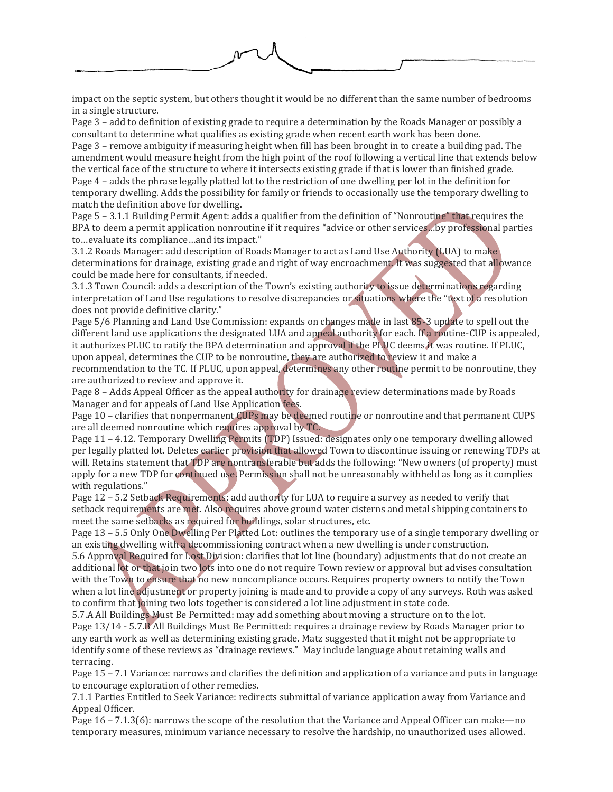impact on the septic system, but others thought it would be no different than the same number of bedrooms in a single structure.

Page 3 – add to definition of existing grade to require a determination by the Roads Manager or possibly a consultant to determine what qualifies as existing grade when recent earth work has been done.

Page 3 – remove ambiguity if measuring height when fill has been brought in to create a building pad. The amendment would measure height from the high point of the roof following a vertical line that extends below the vertical face of the structure to where it intersects existing grade if that is lower than finished grade. Page 4 – adds the phrase legally platted lot to the restriction of one dwelling per lot in the definition for temporary dwelling. Adds the possibility for family or friends to occasionally use the temporary dwelling to match the definition above for dwelling.

Page 5 – 3.1.1 Building Permit Agent: adds a qualifier from the definition of "Nonroutine" that requires the BPA to deem a permit application nonroutine if it requires "advice or other services…by professional parties to…evaluate its compliance…and its impact."

3.1.2 Roads Manager: add description of Roads Manager to act as Land Use Authority (LUA) to make determinations for drainage, existing grade and right of way encroachment. It was suggested that allowance could be made here for consultants, if needed.

3.1.3 Town Council: adds a description of the Town's existing authority to issue determinations regarding interpretation of Land Use regulations to resolve discrepancies or situations where the "text of a resolution does not provide definitive clarity."

Page 5/6 Planning and Land Use Commission: expands on changes made in last 85-3 update to spell out the different land use applications the designated LUA and appeal authority for each. If a routine-CUP is appealed, it authorizes PLUC to ratify the BPA determination and approval if the PLUC deems it was routine. If PLUC, upon appeal, determines the CUP to be nonroutine, they are authorized to review it and make a

recommendation to the TC. If PLUC, upon appeal, determines any other routine permit to be nonroutine, they are authorized to review and approve it.

Page 8 – Adds Appeal Officer as the appeal authority for drainage review determinations made by Roads Manager and for appeals of Land Use Application fees.

Page 10 – clarifies that nonpermanent CUPs may be deemed routine or nonroutine and that permanent CUPS are all deemed nonroutine which requires approval by TC.

Page 11 – 4.12. Temporary Dwelling Permits (TDP) Issued: designates only one temporary dwelling allowed per legally platted lot. Deletes earlier provision that allowed Town to discontinue issuing or renewing TDPs at will. Retains statement that TDP are nontransferable but adds the following: "New owners (of property) must apply for a new TDP for continued use. Permission shall not be unreasonably withheld as long as it complies with regulations."

Page 12 – 5.2 Setback Requirements: add authority for LUA to require a survey as needed to verify that setback requirements are met. Also requires above ground water cisterns and metal shipping containers to meet the same setbacks as required for buildings, solar structures, etc.

Page 13 – 5.5 Only One Dwelling Per Platted Lot: outlines the temporary use of a single temporary dwelling or an existing dwelling with a decommissioning contract when a new dwelling is under construction.

5.6 Approval Required for Lost Division: clarifies that lot line (boundary) adjustments that do not create an additional lot or that join two lots into one do not require Town review or approval but advises consultation with the Town to ensure that no new noncompliance occurs. Requires property owners to notify the Town when a lot line adjustment or property joining is made and to provide a copy of any surveys. Roth was asked to confirm that joining two lots together is considered a lot line adjustment in state code.

5.7.A All Buildings Must Be Permitted: may add something about moving a structure on to the lot. Page 13/14 - 5.7.B All Buildings Must Be Permitted: requires a drainage review by Roads Manager prior to any earth work as well as determining existing grade. Matz suggested that it might not be appropriate to identify some of these reviews as "drainage reviews." May include language about retaining walls and terracing.

Page 15 – 7.1 Variance: narrows and clarifies the definition and application of a variance and puts in language to encourage exploration of other remedies.

7.1.1 Parties Entitled to Seek Variance: redirects submittal of variance application away from Variance and Appeal Officer.

Page 16 – 7.1.3(6): narrows the scope of the resolution that the Variance and Appeal Officer can make—no temporary measures, minimum variance necessary to resolve the hardship, no unauthorized uses allowed.